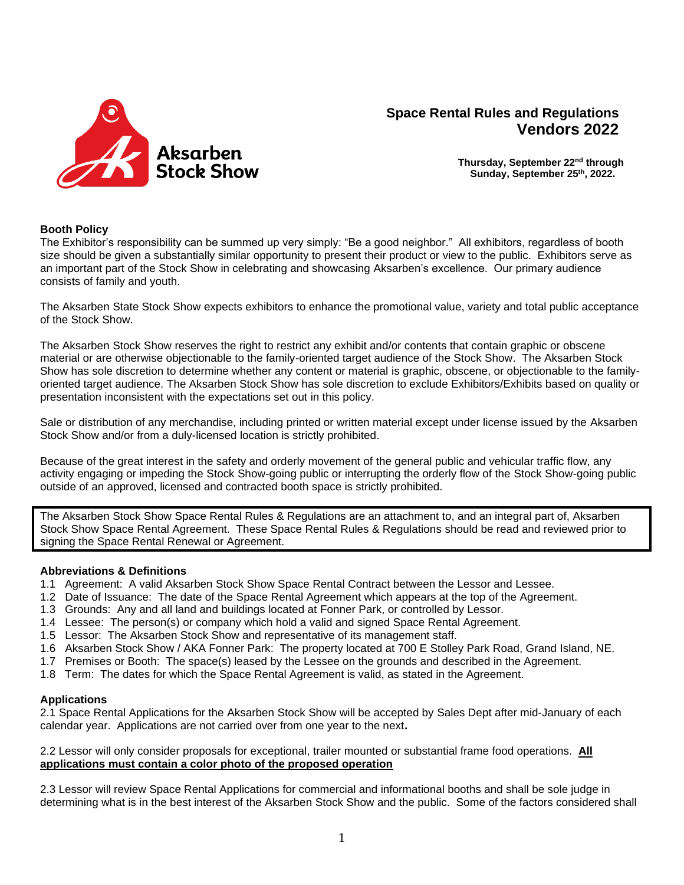

# **Space Rental Rules and Regulations Vendors 2022**

**Thursday, September 22nd through Sunday, September 25 th, 2022.**

# **Booth Policy**

The Exhibitor's responsibility can be summed up very simply: "Be a good neighbor." All exhibitors, regardless of booth size should be given a substantially similar opportunity to present their product or view to the public. Exhibitors serve as an important part of the Stock Show in celebrating and showcasing Aksarben's excellence. Our primary audience consists of family and youth.

The Aksarben State Stock Show expects exhibitors to enhance the promotional value, variety and total public acceptance of the Stock Show.

The Aksarben Stock Show reserves the right to restrict any exhibit and/or contents that contain graphic or obscene material or are otherwise objectionable to the family-oriented target audience of the Stock Show. The Aksarben Stock Show has sole discretion to determine whether any content or material is graphic, obscene, or objectionable to the familyoriented target audience. The Aksarben Stock Show has sole discretion to exclude Exhibitors/Exhibits based on quality or presentation inconsistent with the expectations set out in this policy.

Sale or distribution of any merchandise, including printed or written material except under license issued by the Aksarben Stock Show and/or from a duly-licensed location is strictly prohibited.

Because of the great interest in the safety and orderly movement of the general public and vehicular traffic flow, any activity engaging or impeding the Stock Show-going public or interrupting the orderly flow of the Stock Show-going public outside of an approved, licensed and contracted booth space is strictly prohibited.

The Aksarben Stock Show Space Rental Rules & Regulations are an attachment to, and an integral part of, Aksarben Stock Show Space Rental Agreement. These Space Rental Rules & Regulations should be read and reviewed prior to signing the Space Rental Renewal or Agreement.

## **Abbreviations & Definitions**

- 1.1 Agreement: A valid Aksarben Stock Show Space Rental Contract between the Lessor and Lessee.
- 1.2 Date of Issuance: The date of the Space Rental Agreement which appears at the top of the Agreement.
- 1.3 Grounds: Any and all land and buildings located at Fonner Park, or controlled by Lessor.
- 1.4 Lessee: The person(s) or company which hold a valid and signed Space Rental Agreement.
- 1.5 Lessor: The Aksarben Stock Show and representative of its management staff.
- 1.6 Aksarben Stock Show / AKA Fonner Park: The property located at 700 E Stolley Park Road, Grand Island, NE.
- 1.7 Premises or Booth: The space(s) leased by the Lessee on the grounds and described in the Agreement.
- 1.8 Term: The dates for which the Space Rental Agreement is valid, as stated in the Agreement.

## **Applications**

2.1 Space Rental Applications for the Aksarben Stock Show will be accepted by Sales Dept after mid-January of each calendar year. Applications are not carried over from one year to the next**.** 

## 2.2 Lessor will only consider proposals for exceptional, trailer mounted or substantial frame food operations. **All applications must contain a color photo of the proposed operation**

2.3 Lessor will review Space Rental Applications for commercial and informational booths and shall be sole judge in determining what is in the best interest of the Aksarben Stock Show and the public. Some of the factors considered shall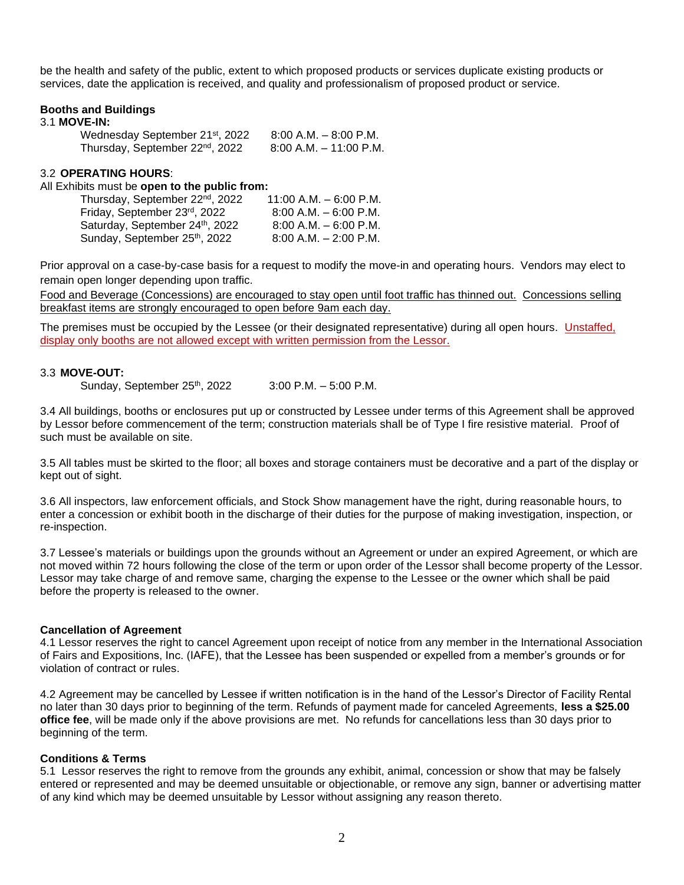be the health and safety of the public, extent to which proposed products or services duplicate existing products or services, date the application is received, and quality and professionalism of proposed product or service.

#### **Booths and Buildings**

#### 3.1 **MOVE-IN:**

| Wednesday September 21st, 2022              | $8:00$ A.M. $-8:00$ P.M. |
|---------------------------------------------|--------------------------|
| Thursday, September 22 <sup>nd</sup> , 2022 | 8:00 A.M. – 11:00 P.M.   |

## 3.2 **OPERATING HOURS**:

#### All Exhibits must be **open to the public from:**

| Thursday, September 22 <sup>nd</sup> , 2022 | $11:00$ A.M. $-$ 6:00 P.M. |
|---------------------------------------------|----------------------------|
| Friday, September 23rd, 2022                | $8:00$ A.M. $-6:00$ P.M.   |
| Saturday, September 24th, 2022              | $8:00$ A.M. $-6:00$ P.M.   |
| Sunday, September 25th, 2022                | $8:00$ A.M. $-2:00$ P.M.   |

Prior approval on a case-by-case basis for a request to modify the move-in and operating hours. Vendors may elect to remain open longer depending upon traffic.

Food and Beverage (Concessions) are encouraged to stay open until foot traffic has thinned out. Concessions selling breakfast items are strongly encouraged to open before 9am each day.

The premises must be occupied by the Lessee (or their designated representative) during all open hours. Unstaffed, display only booths are not allowed except with written permission from the Lessor.

#### 3.3 **MOVE-OUT:**

Sunday, September 25<sup>th</sup>, 2022  $3:00$  P.M. – 5:00 P.M.

3.4 All buildings, booths or enclosures put up or constructed by Lessee under terms of this Agreement shall be approved by Lessor before commencement of the term; construction materials shall be of Type I fire resistive material. Proof of such must be available on site.

3.5 All tables must be skirted to the floor; all boxes and storage containers must be decorative and a part of the display or kept out of sight.

3.6 All inspectors, law enforcement officials, and Stock Show management have the right, during reasonable hours, to enter a concession or exhibit booth in the discharge of their duties for the purpose of making investigation, inspection, or re-inspection.

3.7 Lessee's materials or buildings upon the grounds without an Agreement or under an expired Agreement, or which are not moved within 72 hours following the close of the term or upon order of the Lessor shall become property of the Lessor. Lessor may take charge of and remove same, charging the expense to the Lessee or the owner which shall be paid before the property is released to the owner.

#### **Cancellation of Agreement**

4.1 Lessor reserves the right to cancel Agreement upon receipt of notice from any member in the International Association of Fairs and Expositions, Inc. (IAFE), that the Lessee has been suspended or expelled from a member's grounds or for violation of contract or rules.

4.2 Agreement may be cancelled by Lessee if written notification is in the hand of the Lessor's Director of Facility Rental no later than 30 days prior to beginning of the term. Refunds of payment made for canceled Agreements, **less a \$25.00 office fee**, will be made only if the above provisions are met. No refunds for cancellations less than 30 days prior to beginning of the term.

#### **Conditions & Terms**

5.1 Lessor reserves the right to remove from the grounds any exhibit, animal, concession or show that may be falsely entered or represented and may be deemed unsuitable or objectionable, or remove any sign, banner or advertising matter of any kind which may be deemed unsuitable by Lessor without assigning any reason thereto.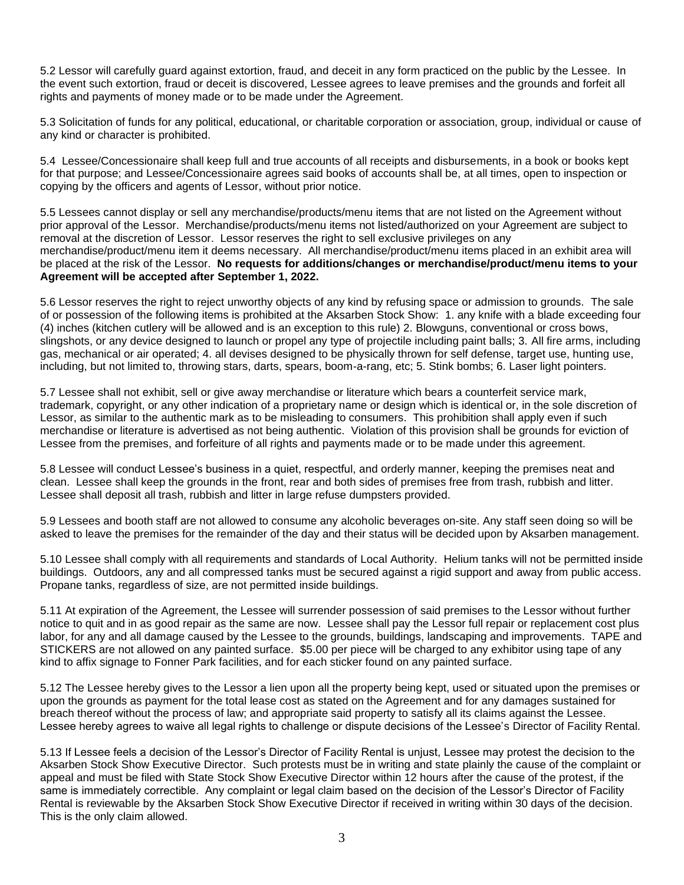5.2 Lessor will carefully guard against extortion, fraud, and deceit in any form practiced on the public by the Lessee. In the event such extortion, fraud or deceit is discovered, Lessee agrees to leave premises and the grounds and forfeit all rights and payments of money made or to be made under the Agreement.

5.3 Solicitation of funds for any political, educational, or charitable corporation or association, group, individual or cause of any kind or character is prohibited.

5.4 Lessee/Concessionaire shall keep full and true accounts of all receipts and disbursements, in a book or books kept for that purpose; and Lessee/Concessionaire agrees said books of accounts shall be, at all times, open to inspection or copying by the officers and agents of Lessor, without prior notice.

5.5 Lessees cannot display or sell any merchandise/products/menu items that are not listed on the Agreement without prior approval of the Lessor. Merchandise/products/menu items not listed/authorized on your Agreement are subject to removal at the discretion of Lessor. Lessor reserves the right to sell exclusive privileges on any merchandise/product/menu item it deems necessary. All merchandise/product/menu items placed in an exhibit area will be placed at the risk of the Lessor. **No requests for additions/changes or merchandise/product/menu items to your Agreement will be accepted after September 1, 2022.**

5.6 Lessor reserves the right to reject unworthy objects of any kind by refusing space or admission to grounds. The sale of or possession of the following items is prohibited at the Aksarben Stock Show: 1. any knife with a blade exceeding four (4) inches (kitchen cutlery will be allowed and is an exception to this rule) 2. Blowguns, conventional or cross bows, slingshots, or any device designed to launch or propel any type of projectile including paint balls; 3. All fire arms, including gas, mechanical or air operated; 4. all devises designed to be physically thrown for self defense, target use, hunting use, including, but not limited to, throwing stars, darts, spears, boom-a-rang, etc; 5. Stink bombs; 6. Laser light pointers.

5.7 Lessee shall not exhibit, sell or give away merchandise or literature which bears a counterfeit service mark, trademark, copyright, or any other indication of a proprietary name or design which is identical or, in the sole discretion of Lessor, as similar to the authentic mark as to be misleading to consumers. This prohibition shall apply even if such merchandise or literature is advertised as not being authentic. Violation of this provision shall be grounds for eviction of Lessee from the premises, and forfeiture of all rights and payments made or to be made under this agreement.

5.8 Lessee will conduct Lessee's business in a quiet, respectful, and orderly manner, keeping the premises neat and clean. Lessee shall keep the grounds in the front, rear and both sides of premises free from trash, rubbish and litter. Lessee shall deposit all trash, rubbish and litter in large refuse dumpsters provided.

5.9 Lessees and booth staff are not allowed to consume any alcoholic beverages on-site. Any staff seen doing so will be asked to leave the premises for the remainder of the day and their status will be decided upon by Aksarben management.

5.10 Lessee shall comply with all requirements and standards of Local Authority. Helium tanks will not be permitted inside buildings. Outdoors, any and all compressed tanks must be secured against a rigid support and away from public access. Propane tanks, regardless of size, are not permitted inside buildings.

5.11 At expiration of the Agreement, the Lessee will surrender possession of said premises to the Lessor without further notice to quit and in as good repair as the same are now. Lessee shall pay the Lessor full repair or replacement cost plus labor, for any and all damage caused by the Lessee to the grounds, buildings, landscaping and improvements. TAPE and STICKERS are not allowed on any painted surface. \$5.00 per piece will be charged to any exhibitor using tape of any kind to affix signage to Fonner Park facilities, and for each sticker found on any painted surface.

5.12 The Lessee hereby gives to the Lessor a lien upon all the property being kept, used or situated upon the premises or upon the grounds as payment for the total lease cost as stated on the Agreement and for any damages sustained for breach thereof without the process of law; and appropriate said property to satisfy all its claims against the Lessee. Lessee hereby agrees to waive all legal rights to challenge or dispute decisions of the Lessee's Director of Facility Rental.

5.13 If Lessee feels a decision of the Lessor's Director of Facility Rental is unjust, Lessee may protest the decision to the Aksarben Stock Show Executive Director. Such protests must be in writing and state plainly the cause of the complaint or appeal and must be filed with State Stock Show Executive Director within 12 hours after the cause of the protest, if the same is immediately correctible. Any complaint or legal claim based on the decision of the Lessor's Director of Facility Rental is reviewable by the Aksarben Stock Show Executive Director if received in writing within 30 days of the decision. This is the only claim allowed.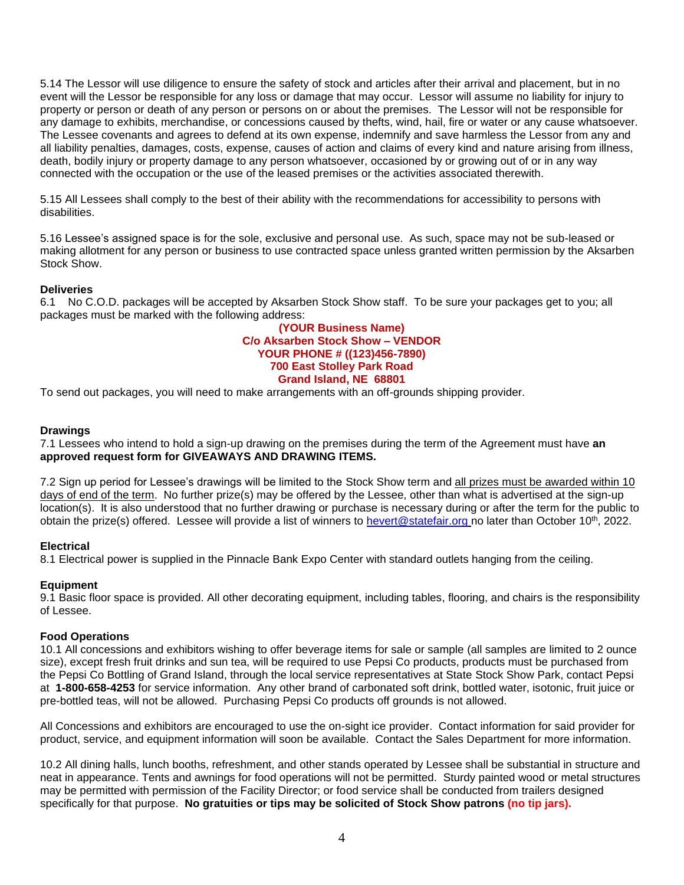5.14 The Lessor will use diligence to ensure the safety of stock and articles after their arrival and placement, but in no event will the Lessor be responsible for any loss or damage that may occur. Lessor will assume no liability for injury to property or person or death of any person or persons on or about the premises. The Lessor will not be responsible for any damage to exhibits, merchandise, or concessions caused by thefts, wind, hail, fire or water or any cause whatsoever. The Lessee covenants and agrees to defend at its own expense, indemnify and save harmless the Lessor from any and all liability penalties, damages, costs, expense, causes of action and claims of every kind and nature arising from illness, death, bodily injury or property damage to any person whatsoever, occasioned by or growing out of or in any way connected with the occupation or the use of the leased premises or the activities associated therewith.

5.15 All Lessees shall comply to the best of their ability with the recommendations for accessibility to persons with disabilities.

5.16 Lessee's assigned space is for the sole, exclusive and personal use. As such, space may not be sub-leased or making allotment for any person or business to use contracted space unless granted written permission by the Aksarben Stock Show.

# **Deliveries**

6.1 No C.O.D. packages will be accepted by Aksarben Stock Show staff. To be sure your packages get to you; all packages must be marked with the following address:

## **(YOUR Business Name) C/o Aksarben Stock Show – VENDOR YOUR PHONE # ((123)456-7890) 700 East Stolley Park Road Grand Island, NE 68801**

To send out packages, you will need to make arrangements with an off-grounds shipping provider.

## **Drawings**

7.1 Lessees who intend to hold a sign-up drawing on the premises during the term of the Agreement must have **an approved request form for GIVEAWAYS AND DRAWING ITEMS.**

7.2 Sign up period for Lessee's drawings will be limited to the Stock Show term and all prizes must be awarded within 10 days of end of the term. No further prize(s) may be offered by the Lessee, other than what is advertised at the sign-up location(s). It is also understood that no further drawing or purchase is necessary during or after the term for the public to obtain the prize(s) offered. Lessee will provide a list of winners to [hevert@statefair.org](mailto:hevert@statefair.org) no later than October 10<sup>th</sup>, 2022.

## **Electrical**

8.1 Electrical power is supplied in the Pinnacle Bank Expo Center with standard outlets hanging from the ceiling.

#### **Equipment**

9.1 Basic floor space is provided. All other decorating equipment, including tables, flooring, and chairs is the responsibility of Lessee.

#### **Food Operations**

10.1 All concessions and exhibitors wishing to offer beverage items for sale or sample (all samples are limited to 2 ounce size), except fresh fruit drinks and sun tea, will be required to use Pepsi Co products, products must be purchased from the Pepsi Co Bottling of Grand Island, through the local service representatives at State Stock Show Park, contact Pepsi at **1-800-658-4253** for service information. Any other brand of carbonated soft drink, bottled water, isotonic, fruit juice or pre-bottled teas, will not be allowed. Purchasing Pepsi Co products off grounds is not allowed.

All Concessions and exhibitors are encouraged to use the on-sight ice provider. Contact information for said provider for product, service, and equipment information will soon be available. Contact the Sales Department for more information.

10.2 All dining halls, lunch booths, refreshment, and other stands operated by Lessee shall be substantial in structure and neat in appearance. Tents and awnings for food operations will not be permitted. Sturdy painted wood or metal structures may be permitted with permission of the Facility Director; or food service shall be conducted from trailers designed specifically for that purpose. **No gratuities or tips may be solicited of Stock Show patrons (no tip jars).**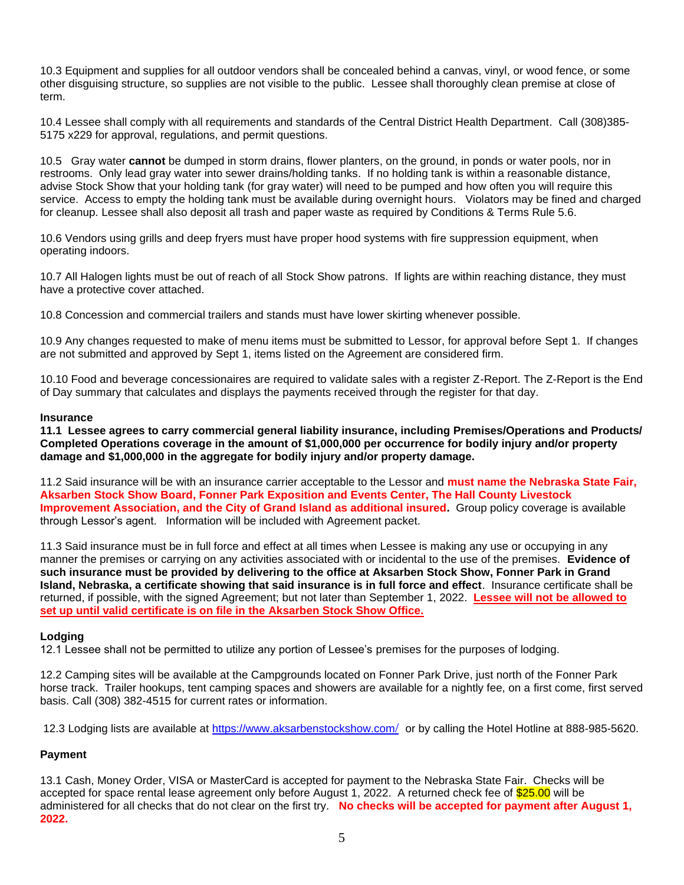10.3 Equipment and supplies for all outdoor vendors shall be concealed behind a canvas, vinyl, or wood fence, or some other disguising structure, so supplies are not visible to the public. Lessee shall thoroughly clean premise at close of term.

10.4 Lessee shall comply with all requirements and standards of the Central District Health Department. Call (308)385- 5175 x229 for approval, regulations, and permit questions.

10.5 Gray water **cannot** be dumped in storm drains, flower planters, on the ground, in ponds or water pools, nor in restrooms. Only lead gray water into sewer drains/holding tanks. If no holding tank is within a reasonable distance, advise Stock Show that your holding tank (for gray water) will need to be pumped and how often you will require this service. Access to empty the holding tank must be available during overnight hours. Violators may be fined and charged for cleanup. Lessee shall also deposit all trash and paper waste as required by Conditions & Terms Rule 5.6.

10.6 Vendors using grills and deep fryers must have proper hood systems with fire suppression equipment, when operating indoors.

10.7 All Halogen lights must be out of reach of all Stock Show patrons. If lights are within reaching distance, they must have a protective cover attached.

10.8 Concession and commercial trailers and stands must have lower skirting whenever possible.

10.9 Any changes requested to make of menu items must be submitted to Lessor, for approval before Sept 1. If changes are not submitted and approved by Sept 1, items listed on the Agreement are considered firm.

10.10 Food and beverage concessionaires are required to validate sales with a register Z-Report. The Z-Report is the End of Day summary that calculates and displays the payments received through the register for that day.

## **Insurance**

**11.1 Lessee agrees to carry commercial general liability insurance, including Premises/Operations and Products/ Completed Operations coverage in the amount of \$1,000,000 per occurrence for bodily injury and/or property damage and \$1,000,000 in the aggregate for bodily injury and/or property damage.**

11.2 Said insurance will be with an insurance carrier acceptable to the Lessor and **must name the Nebraska State Fair, Aksarben Stock Show Board, Fonner Park Exposition and Events Center, The Hall County Livestock Improvement Association, and the City of Grand Island as additional insured.** Group policy coverage is available through Lessor's agent. Information will be included with Agreement packet.

11.3 Said insurance must be in full force and effect at all times when Lessee is making any use or occupying in any manner the premises or carrying on any activities associated with or incidental to the use of the premises. **Evidence of such insurance must be provided by delivering to the office at Aksarben Stock Show, Fonner Park in Grand Island, Nebraska, a certificate showing that said insurance is in full force and effect**. Insurance certificate shall be returned, if possible, with the signed Agreement; but not later than September 1, 2022. **Lessee will not be allowed to set up until valid certificate is on file in the Aksarben Stock Show Office.**

# **Lodging**

12.1 Lessee shall not be permitted to utilize any portion of Lessee's premises for the purposes of lodging.

12.2 Camping sites will be available at the Campgrounds located on Fonner Park Drive, just north of the Fonner Park horse track. Trailer hookups, tent camping spaces and showers are available for a nightly fee, on a first come, first served basis. Call (308) 382-4515 for current rates or information.

12.3 Lodging lists are available at [https://www.aksarbenstockshow.com](https://www.aksarbenstockshow.com/)[/](https://www.aksarbenstockshow.com/) or by calling the Hotel Hotline at 888-985-5620.

# **Payment**

13.1 Cash, Money Order, VISA or MasterCard is accepted for payment to the Nebraska State Fair. Checks will be accepted for space rental lease agreement only before August 1, 2022. A returned check fee of \$25.00 will be administered for all checks that do not clear on the first try. **No checks will be accepted for payment after August 1, 2022.**